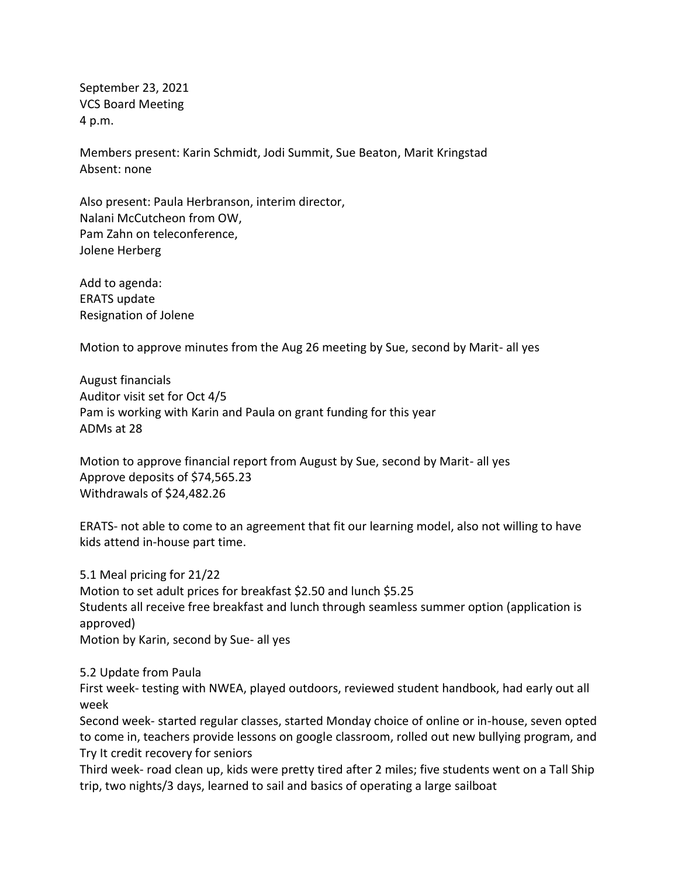September 23, 2021 VCS Board Meeting 4 p.m.

Members present: Karin Schmidt, Jodi Summit, Sue Beaton, Marit Kringstad Absent: none

Also present: Paula Herbranson, interim director, Nalani McCutcheon from OW, Pam Zahn on teleconference, Jolene Herberg

Add to agenda: ERATS update Resignation of Jolene

Motion to approve minutes from the Aug 26 meeting by Sue, second by Marit- all yes

August financials Auditor visit set for Oct 4/5 Pam is working with Karin and Paula on grant funding for this year ADMs at 28

Motion to approve financial report from August by Sue, second by Marit- all yes Approve deposits of \$74,565.23 Withdrawals of \$24,482.26

ERATS- not able to come to an agreement that fit our learning model, also not willing to have kids attend in-house part time.

5.1 Meal pricing for 21/22 Motion to set adult prices for breakfast \$2.50 and lunch \$5.25 Students all receive free breakfast and lunch through seamless summer option (application is approved) Motion by Karin, second by Sue- all yes

## 5.2 Update from Paula

First week- testing with NWEA, played outdoors, reviewed student handbook, had early out all week

Second week- started regular classes, started Monday choice of online or in-house, seven opted to come in, teachers provide lessons on google classroom, rolled out new bullying program, and Try It credit recovery for seniors

Third week- road clean up, kids were pretty tired after 2 miles; five students went on a Tall Ship trip, two nights/3 days, learned to sail and basics of operating a large sailboat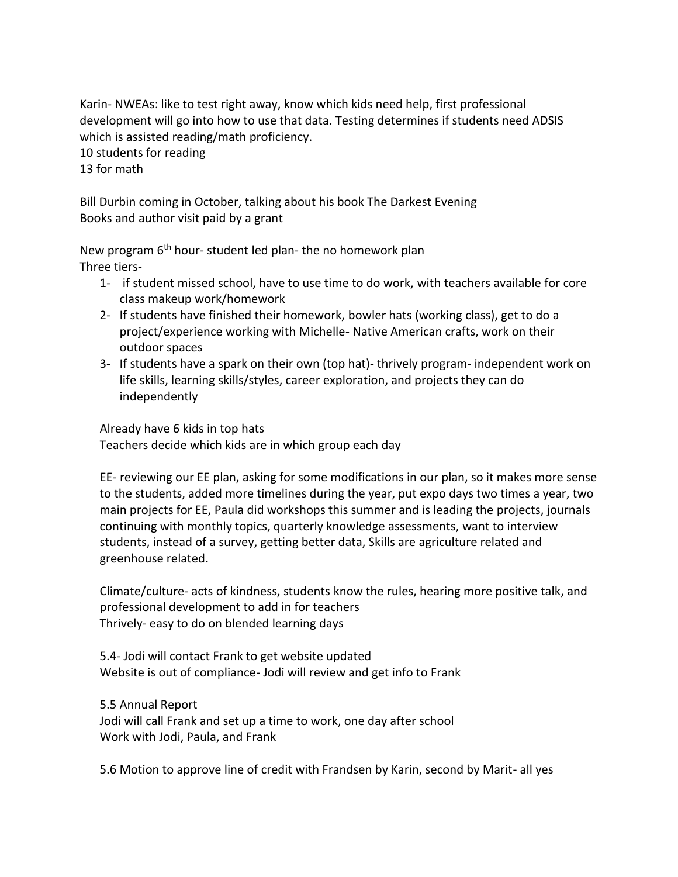Karin- NWEAs: like to test right away, know which kids need help, first professional development will go into how to use that data. Testing determines if students need ADSIS which is assisted reading/math proficiency.

10 students for reading

13 for math

Bill Durbin coming in October, talking about his book The Darkest Evening Books and author visit paid by a grant

New program 6<sup>th</sup> hour-student led plan- the no homework plan Three tiers-

- 1- if student missed school, have to use time to do work, with teachers available for core class makeup work/homework
- 2- If students have finished their homework, bowler hats (working class), get to do a project/experience working with Michelle- Native American crafts, work on their outdoor spaces
- 3- If students have a spark on their own (top hat)- thrively program- independent work on life skills, learning skills/styles, career exploration, and projects they can do independently

Already have 6 kids in top hats Teachers decide which kids are in which group each day

EE- reviewing our EE plan, asking for some modifications in our plan, so it makes more sense to the students, added more timelines during the year, put expo days two times a year, two main projects for EE, Paula did workshops this summer and is leading the projects, journals continuing with monthly topics, quarterly knowledge assessments, want to interview students, instead of a survey, getting better data, Skills are agriculture related and greenhouse related.

Climate/culture- acts of kindness, students know the rules, hearing more positive talk, and professional development to add in for teachers Thrively- easy to do on blended learning days

5.4- Jodi will contact Frank to get website updated Website is out of compliance- Jodi will review and get info to Frank

5.5 Annual Report

Jodi will call Frank and set up a time to work, one day after school Work with Jodi, Paula, and Frank

5.6 Motion to approve line of credit with Frandsen by Karin, second by Marit- all yes